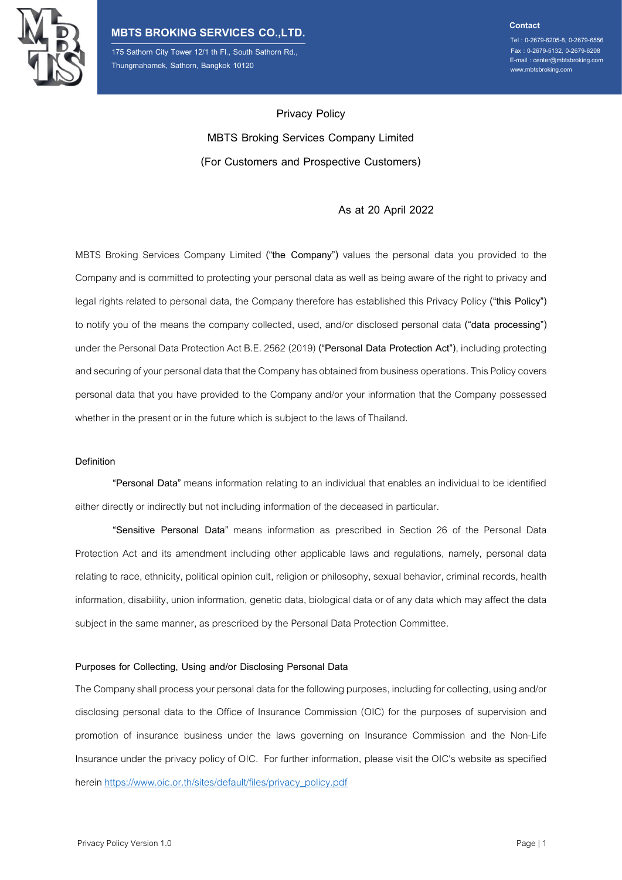

175 Sathorn City Tower 12/1 th Fl., South Sathorn Rd., www.mbtsbroking.com Thungmahamek, Sathorn, Bangkok 10120

**Contact**

Tel : 0-2679-6205-8, 0-2679-6556 Fax : 0-2679-5132, 0-2679-6208 E-mail : center@mbtsbroking.com

**Privacy Policy MBTS Broking Services Company Limited (For Customers and Prospective Customers)**

# **As at 20 April 2022**

MBTS Broking Services Company Limited **("the Company")** values the personal data you provided to the Companyand is committed to protecting your personal data as well as being aware of the right to privacy and legal rights related to personal data, the Company therefore has established this Privacy Policy **("this Policy")**  to notify you of the means the company collected, used, and/or disclosed personal data **("data processing")** under the Personal Data Protection Act B.E. 2562 (2019) **("Personal Data Protection Act")**, including protecting and securing of your personal data that the Company has obtained from business operations. This Policy covers personal data that you have provided to the Company and/or your information that the Company possessed whether in the present or in the future which is subject to the laws of Thailand.

#### **Definition**

**"Personal Data"** means information relating to an individual that enables an individual to be identified either directly or indirectly but not including information of the deceased in particular.

**"Sensitive Personal Data"** means information as prescribed in Section 26 of the Personal Data Protection Act and its amendment including other applicable laws and regulations, namely, personal data relating to race, ethnicity, political opinion cult, religion or philosophy, sexual behavior, criminal records, health information, disability, union information, genetic data, biological data or of any data which may affect the data subject in the same manner, as prescribed by the Personal Data Protection Committee.

#### **Purposes for Collecting, Using and/or Disclosing Personal Data**

The Company shall process your personal data for the following purposes, including for collecting, using and/or disclosing personal data to the Office of Insurance Commission (OIC) for the purposes of supervision and promotion of insurance business under the laws governing on Insurance Commission and the Non-Life Insurance under the privacy policy of OIC. For further information, please visit the OIC's website as specified herein [https://www.oic.or.th/sites/default/files/privacy\\_policy.pdf](https://www.oic.or.th/sites/default/files/privacy_policy.pdf)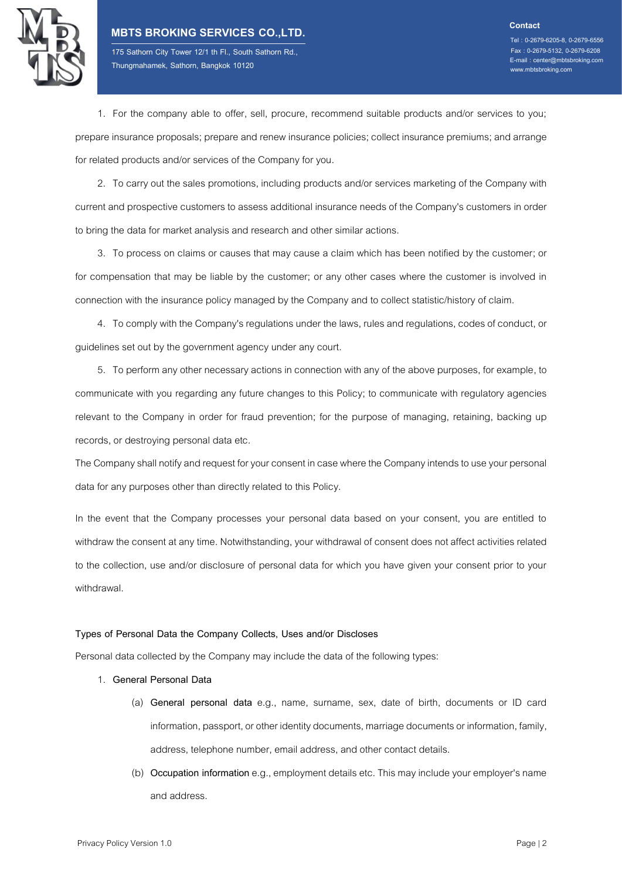

175 Sathorn City Tower 12/1 th Fl., South Sathorn Rd., www.mbtsbroking.com Thungmahamek, Sathorn, Bangkok 10120

Tel : 0-2679-6205-8, 0-2679-6556 Fax : 0-2679-5132, 0-2679-6208 E-mail : center@mbtsbroking.com

1. For the company able to offer, sell, procure, recommend suitable products and/or services to you; prepare insurance proposals; prepare and renew insurance policies; collect insurance premiums; and arrange for related products and/or services of the Company for you.

2. To carry out the sales promotions, including products and/or services marketing of the Company with current and prospective customers to assess additional insurance needs of the Company's customers in order to bring the data for market analysis and research and other similar actions.

3. To process on claims or causes that may cause a claim which has been notified by the customer; or for compensation that may be liable by the customer; or any other cases where the customer is involved in connection with the insurance policy managed by the Company and to collect statistic/historyof claim.

4. To comply with the Company's regulations under the laws, rulesand regulations, codes of conduct, or guidelines set out by the government agency under any court.

5. To perform any other necessary actions in connection with any of the above purposes, for example, to communicate with you regarding any future changes to this Policy; to communicate with regulatory agencies relevant to the Company in order for fraud prevention; for the purpose of managing, retaining, backing up records, or destroying personal data etc.

The Company shall notify and request for your consent in case where the Company intends to use your personal data for any purposes other than directly related to this Policy.

In the event that the Company processes your personal data based on your consent, you are entitled to withdraw the consent at any time. Notwithstanding, your withdrawal of consent does not affect activities related to the collection, use and/or disclosure of personal data for which you have given your consent prior to your withdrawal.

#### **Types of Personal Data the Company Collects, Uses and/or Discloses**

Personal data collected by the Company may include the data of the following types:

- 1. **General Personal Data**
	- (a) **General personal data** e.g., name, surname, sex, date of birth, documents or ID card information, passport, or other identity documents, marriage documents or information, family, address, telephone number, email address, and other contact details.
	- (b) **Occupation information**e.g., employment detailsetc.This may include your employer's name and address.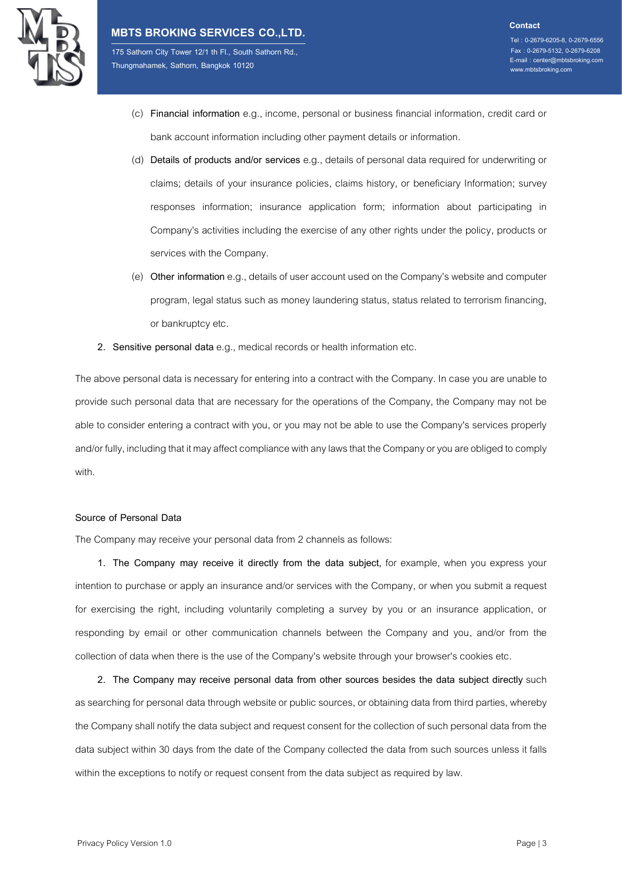

175 Sathorn City Tower 12/1 th Fl., South Sathorn Rd., www.mbtsbroking.com Thungmahamek, Sathorn, Bangkok 10120

- Fax : 0-2679-5132, 0-2679-6208 E-mail : center@mbtsbroking.com
- (c) **Financial information** e.g., income, personal or business financial information, credit card or bank account information including other payment details or information.
- (d) **Details of products and/or services** e.g., details of personal data required for underwriting or claims; details of your insurance policies, claims history, or beneficiary Information; survey responses information; insurance application form; information about participating in Company's activities including the exercise of any other rights under the policy, products or services with the Company.
- (e) **Other information**e.g., details of user account used on the Company's website and computer program, legal status such as money laundering status, status related to terrorism financing, or bankruptcy etc.
- **2. Sensitive personal data**e.g., medical recordsor health information etc.

The above personal data is necessary for entering into a contract with the Company. In case you are unable to provide such personal data that are necessary for the operations of the Company, the Company may not be able to consider entering a contract with you, or you may not be able to use the Company's services properly and/or fully, including that it may affect compliance with any laws that the Company or you are obliged to comply with.

#### **Source of Personal Data**

The Company may receive your personal data from 2 channels as follows:

**1. The Company may receive it directly from the data subject,** for example, when you express your intention to purchase or apply an insurance and/or services with the Company, or when you submit a request for exercising the right, including voluntarily completing a survey by you or an insurance application, or responding by email or other communication channels between the Company and you, and/or from the collection of data when there is the use of the Company's website through your browser's cookies etc.

**2. The Company may receive personal data from other sources besides the data subject directly** such as searching for personal data through website or public sources, or obtaining data from third parties, whereby the Company shall notify the data subject and request consent for the collection of such personal data from the data subject within 30 days from the date of the Company collected the data from such sources unless it falls within the exceptions to notify or request consent from the data subject as required by law.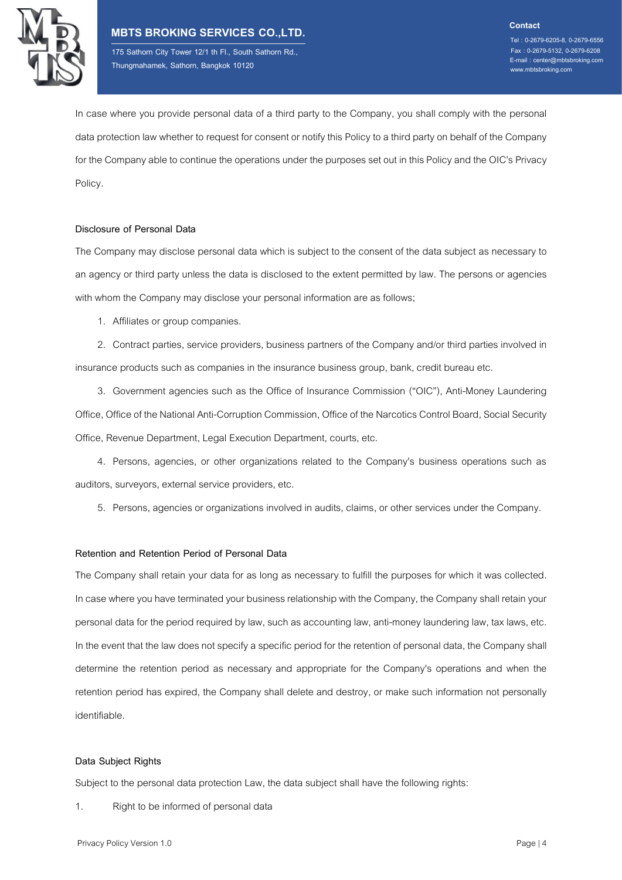

175 Sathorn City Tower 12/1 th Fl., South Sathorn Rd., www.mbtsbroking.com Thungmahamek, Sathorn, Bangkok 10120

E-mail : center@mbtsbroking.com

In case where you provide personal data of a third party to the Company, you shall comply with the personal data protection law whether to request for consent or notify this Policy to a third party on behalf of the Company for the Company able to continue the operations under the purposes set out in this Policy and the OIC's Privacy Policy.

### **Disclosure of Personal Data**

The Company may disclose personal data which is subject to the consent of the data subject as necessary to an agency or third party unless the data is disclosed to the extent permitted by law. The persons or agencies with whom the Company may disclose your personal information are as follows;

1. Affiliates or group companies.

2. Contract parties, service providers, business partners of the Company and/or third parties involved in insurance products such as companies in the insurance business group, bank, credit bureau etc.

3. Government agencies such as the Office of Insurance Commission ("OIC"), Anti-Money Laundering Office, Office of the National Anti-Corruption Commission, Office of the Narcotics Control Board, Social Security Office, Revenue Department, Legal Execution Department, courts, etc.

4. Persons, agencies, or other organizations related to the Company's business operations such as auditors, surveyors, external service providers, etc.

5. Persons, agencies or organizations involved in audits, claims, or other services under the Company.

# **Retention and Retention Period of Personal Data**

The Company shall retain your data for as long as necessary to fulfill the purposes for which it was collected. In case where you have terminated your business relationship with the Company, the Company shall retain your personal data for the period required by law, such as accounting law, anti-money laundering law, tax laws, etc. In the event that the law does not specify a specific period for the retention of personal data, the Company shall determine the retention period as necessary and appropriate for the Company's operations and when the retention period has expired, the Company shall delete and destroy, or make such information not personally identifiable.

# **Data Subject Rights**

Subject to the personal data protection Law, the data subject shall have the following rights:

1. Right to be informed of personal data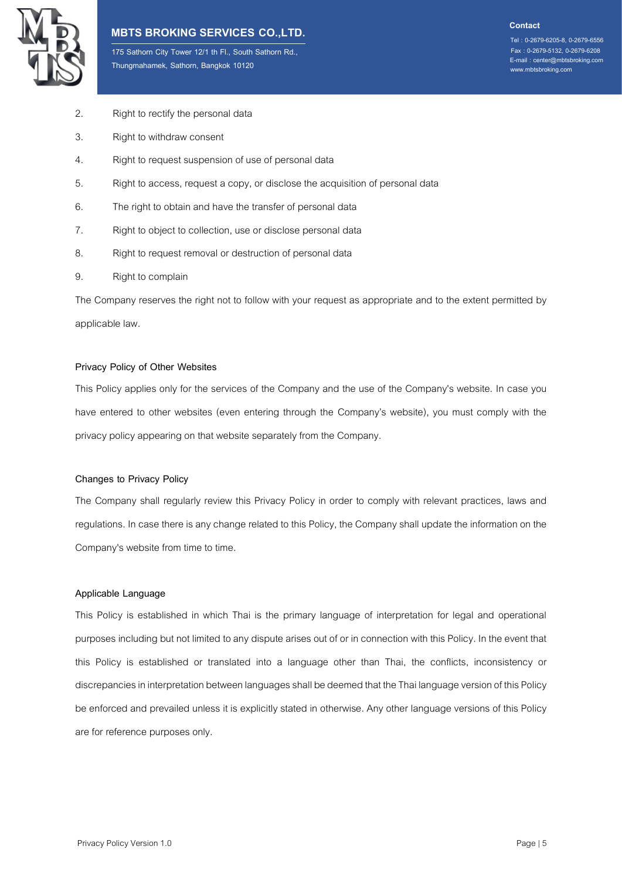

175 Sathorn City Tower 12/1 th Fl., South Sathorn Rd., www.mbtsbroking.com Thungmahamek, Sathorn, Bangkok 10120

Tel : 0-2679-6205-8, 0-2679-6556 Fax : 0-2679-5132, 0-2679-6208 E-mail : center@mbtsbroking.com

- 2. Right to rectify the personal data
- 3. Right to withdraw consent
- 4. Right to request suspension of use of personal data
- 5. Right to access, request a copy, or disclose the acquisition of personal data
- 6. The right to obtain and have the transfer of personal data
- 7. Right to object to collection, use or disclose personal data
- 8. Right to request removal or destruction of personal data
- 9. Right to complain

The Company reserves the right not to follow with your request as appropriate and to the extent permitted by applicable law.

#### **Privacy Policy of Other Websites**

This Policy applies only for the services of the Company and the use of the Company's website. In case you have entered to other websites (even entering through the Company's website), you must comply with the privacy policy appearing on that website separately from the Company.

## **Changes to Privacy Policy**

The Company shall regularly review this Privacy Policy in order to comply with relevant practices, laws and regulations. In case there is anychange related to this Policy, the Company shallupdate the information on the Company's website from time to time.

#### **Applicable Language**

This Policy is established in which Thai is the primary language of interpretation for legal and operational purposes including but not limited to any dispute arises out of or in connection with this Policy. In the event that this Policy is established or translated into a language other than Thai, the conflicts, inconsistency or discrepancies in interpretation between languagesshall be deemed that the Thai language version of this Policy be enforced and prevailed unless it is explicitly stated in otherwise. Any other language versions of this Policy are for reference purposes only.